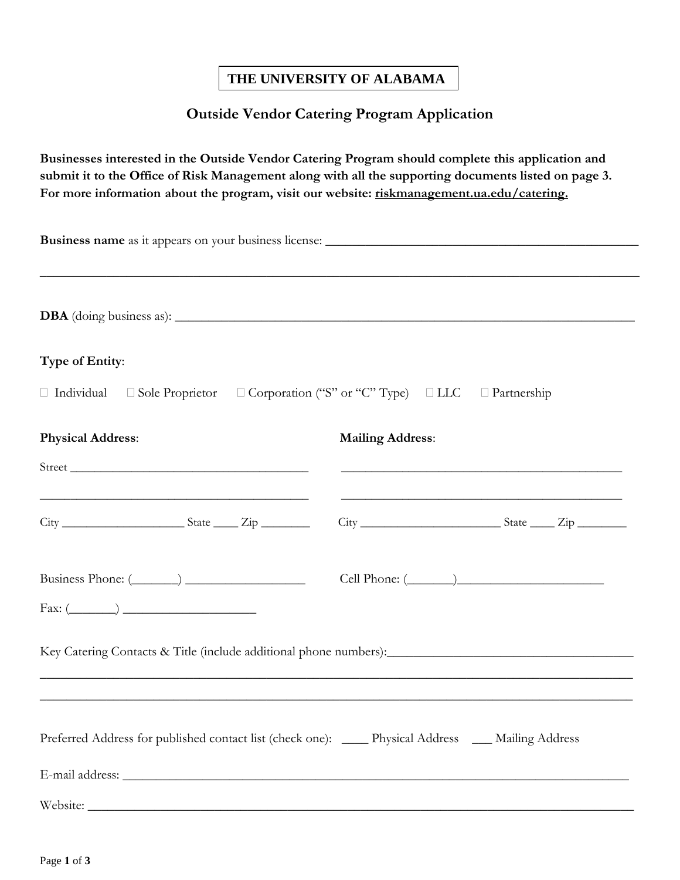## **THE UNIVERSITY OF ALABAMA**

## **Outside Vendor Catering Program Application**

**Businesses interested in the Outside Vendor Catering Program should complete this application and submit it to the Office of Risk Management along with all the supporting documents listed on page 3.**  For more information about the program, visit our website: riskmanagement.ua.edu/catering.

|                                                                                                                                                                                                                                                                                                                                                                                     | ,我们也不能在这里的时候,我们也不能在这里的时候,我们也不能会在这里的时候,我们也不能会在这里的时候,我们也不能会在这里的时候,我们也不能会在这里的时候,我们也不 |
|-------------------------------------------------------------------------------------------------------------------------------------------------------------------------------------------------------------------------------------------------------------------------------------------------------------------------------------------------------------------------------------|-----------------------------------------------------------------------------------|
| Type of Entity:                                                                                                                                                                                                                                                                                                                                                                     |                                                                                   |
| □ Individual □ Sole Proprietor □ Corporation ("S" or "C" Type) □ LLC □ Partnership                                                                                                                                                                                                                                                                                                  |                                                                                   |
| <b>Physical Address:</b>                                                                                                                                                                                                                                                                                                                                                            | <b>Mailing Address:</b>                                                           |
| <u> 1989 - Jan Barnett, fransk politiker (d. 1989)</u><br>$City$ $\frac{2}{i}$ $\frac{1}{i}$ $\frac{1}{i}$ $\frac{1}{i}$ $\frac{1}{i}$ $\frac{1}{i}$ $\frac{1}{i}$ $\frac{1}{i}$ $\frac{1}{i}$ $\frac{1}{i}$ $\frac{1}{i}$ $\frac{1}{i}$ $\frac{1}{i}$ $\frac{1}{i}$ $\frac{1}{i}$ $\frac{1}{i}$ $\frac{1}{i}$ $\frac{1}{i}$ $\frac{1}{i}$ $\frac{1}{i}$ $\frac{1}{i}$ $\frac{1}{i$ |                                                                                   |
| $Fax: (\_\_)$                                                                                                                                                                                                                                                                                                                                                                       | $Cell$ Phone: $(\_\_)$                                                            |
|                                                                                                                                                                                                                                                                                                                                                                                     |                                                                                   |
| Preferred Address for published contact list (check one): _____ Physical Address ____ Mailing Address                                                                                                                                                                                                                                                                               |                                                                                   |
| Website:                                                                                                                                                                                                                                                                                                                                                                            |                                                                                   |
|                                                                                                                                                                                                                                                                                                                                                                                     |                                                                                   |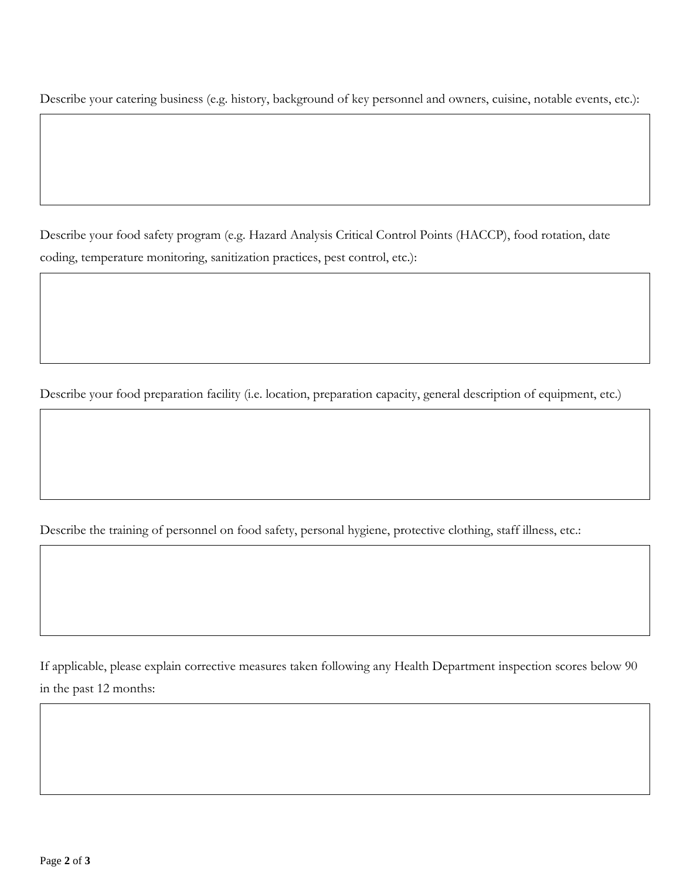Describe your catering business (e.g. history, background of key personnel and owners, cuisine, notable events, etc.):

Describe your food safety program (e.g. Hazard Analysis Critical Control Points (HACCP), food rotation, date coding, temperature monitoring, sanitization practices, pest control, etc.):

Describe your food preparation facility (i.e. location, preparation capacity, general description of equipment, etc.)

Describe the training of personnel on food safety, personal hygiene, protective clothing, staff illness, etc.:

If applicable, please explain corrective measures taken following any Health Department inspection scores below 90 in the past 12 months: